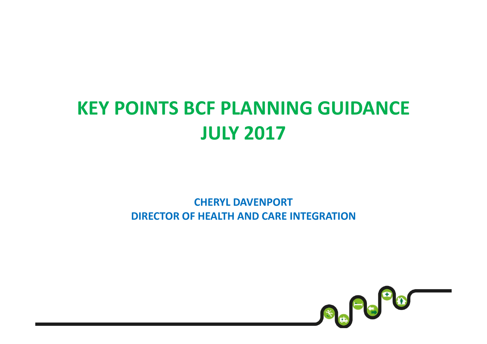## KEY POINTS BCF PLANNING GUIDANCEJULY 2017

#### CHERYL DAVENPORTDIRECTOR OF HEALTH AND CARE INTEGRATION

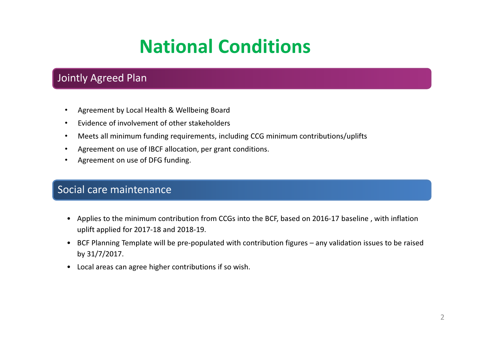## National Conditions

#### Jointly Agreed Plan

- •Agreement by Local Health & Wellbeing Board
- •Evidence of involvement of other stakeholders
- •Meets all minimum funding requirements, including CCG minimum contributions/uplifts
- •Agreement on use of IBCF allocation, per grant conditions.
- $\bullet$ Agreement on use of DFG funding.

#### Social care maintenance

- Applies to the minimum contribution from CCGs into the BCF, based on 2016-17 baseline , with inflation uplift applied for 2017-18 and 2018-19.
- BCF Planning Template will be pre-populated with contribution figures any validation issues to be raised by 31/7/2017.
- Local areas can agree higher contributions if so wish.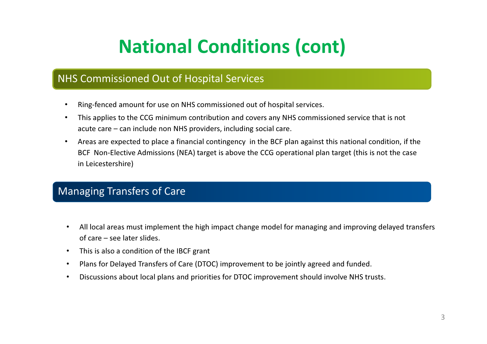# National Conditions (cont)

#### NHS Commissioned Out of Hospital Services

- •Ring-fenced amount for use on NHS commissioned out of hospital services.
- • This applies to the CCG minimum contribution and covers any NHS commissioned service that is not acute care – can include non NHS providers, including social care.
- • Areas are expected to place a financial contingency in the BCF plan against this national condition, if the BCF Non-Elective Admissions (NEA) target is above the CCG operational plan target (this is not the case in Leicestershire)

#### Managing Transfers of Care

- • All local areas must implement the high impact change model for managing and improving delayed transfers of care – see later slides.
- $\bullet$ This is also a condition of the IBCF grant
- •Plans for Delayed Transfers of Care (DTOC) improvement to be jointly agreed and funded.
- •Discussions about local plans and priorities for DTOC improvement should involve NHS trusts.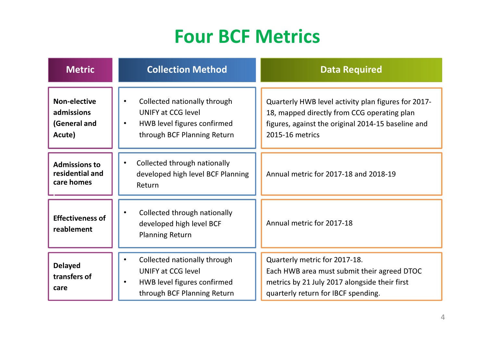## Four BCF Metrics

| <b>Metric</b>                                               | <b>Collection Method</b>                                                                                                             | <b>Data Required</b>                                                                                                                                                        |
|-------------------------------------------------------------|--------------------------------------------------------------------------------------------------------------------------------------|-----------------------------------------------------------------------------------------------------------------------------------------------------------------------------|
| <b>Non-elective</b><br>admissions<br>(General and<br>Acute) | Collected nationally through<br><b>UNIFY at CCG level</b><br>HWB level figures confirmed<br>$\bullet$<br>through BCF Planning Return | Quarterly HWB level activity plan figures for 2017-<br>18, mapped directly from CCG operating plan<br>figures, against the original 2014-15 baseline and<br>2015-16 metrics |
| <b>Admissions to</b><br>residential and<br>care homes       | Collected through nationally<br>developed high level BCF Planning<br>Return                                                          | Annual metric for 2017-18 and 2018-19                                                                                                                                       |
| <b>Effectiveness of</b><br>reablement                       | Collected through nationally<br>developed high level BCF<br><b>Planning Return</b>                                                   | Annual metric for 2017-18                                                                                                                                                   |
| <b>Delayed</b><br>transfers of<br>care                      | Collected nationally through<br><b>UNIFY at CCG level</b><br>HWB level figures confirmed<br>through BCF Planning Return              | Quarterly metric for 2017-18.<br>Each HWB area must submit their agreed DTOC<br>metrics by 21 July 2017 alongside their first<br>quarterly return for IBCF spending.        |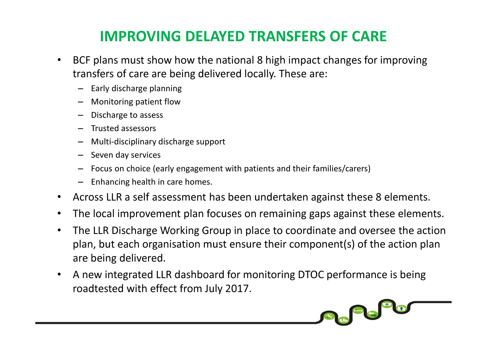### IMPROVING DELAYED TRANSFERS OF CARE

- • BCF plans must show how the national 8 high impact changes for improving transfers of care are being delivered locally. These are:
	- Early discharge planning
	- Monitoring patient flow
	- Discharge to assess
	- Trusted assessors
	- Multi-disciplinary discharge support
	- Seven day services
	- Focus on choice (early engagement with patients and their families/carers)
	- Enhancing health in care homes.
- Across LLR a self assessment has been undertaken against these 8 elements.
- •The local improvement plan focuses on remaining gaps against these elements.
- • The LLR Discharge Working Group in place to coordinate and oversee the action plan, but each organisation must ensure their component(s) of the action plan are being delivered.

**SCOOPER** 

• A new integrated LLR dashboard for monitoring DTOC performance is being roadtested with effect from July 2017.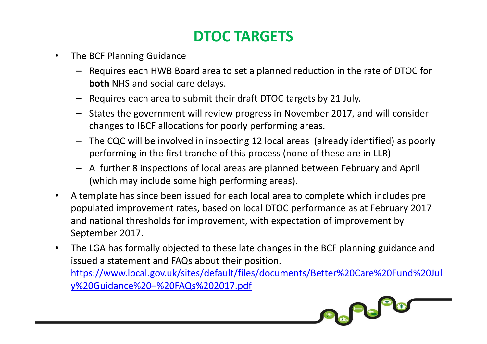### DTOC TARGETS

- • The BCF Planning Guidance
	- Requires each HWB Board area to set a planned reduction in the rate of DTOC for **both** NHS and social care delays.
	- Requires each area to submit their draft DTOC targets by 21 July.
	- States the government will review progress in November 2017, and will consider changes to IBCF allocations for poorly performing areas.
	- The CQC will be involved in inspecting 12 local areas (already identified) as poorly performing in the first tranche of this process (none of these are in LLR)
	- A further 8 inspections of local areas are planned between February and April (which may include some high performing areas).
- • A template has since been issued for each local area to complete which includes pre populated improvement rates, based on local DTOC performance as at February 2017 and national thresholds for improvement, with expectation of improvement by September 2017.
- • The LGA has formally objected to these late changes in the BCF planning guidance and issued a statement and FAQs about their position. https://www.local.gov.uk/sites/default/files/documents/Better%20Care%20Fund%20Jul

Se Po<sup>p</sup>o

y%20Guidance%20–%20FAQs%202017.pdf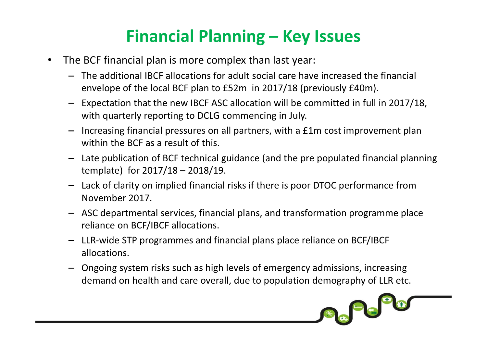### Financial Planning – Key Issues

- $\bullet$  The BCF financial plan is more complex than last year:
	- The additional IBCF allocations for adult social care have increased the financial envelope of the local BCF plan to £52m in 2017/18 (previously £40m).
	- Expectation that the new IBCF ASC allocation will be committed in full in 2017/18, with quarterly reporting to DCLG commencing in July.
	- Increasing financial pressures on all partners, with a £1m cost improvement plan within the BCF as a result of this.
	- Late publication of BCF technical guidance (and the pre populated financial planning template) for 2017/18 – 2018/19.
	- Lack of clarity on implied financial risks if there is poor DTOC performance from November 2017.
	- ASC departmental services, financial plans, and transformation programme place reliance on BCF/IBCF allocations.
	- LLR-wide STP programmes and financial plans place reliance on BCF/IBCF allocations.
	- Ongoing system risks such as high levels of emergency admissions, increasing demand on health and care overall, due to population demography of LLR etc.